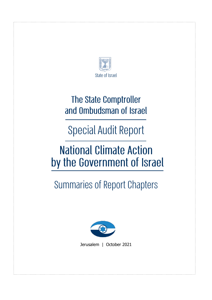

### **The State Comptroller** and Ombudsman of Israel

**Special Audit Report** 

## **National Climate Action** by the Government of Israel

# **Summaries of Report Chapters**



Jerusalem | October 2021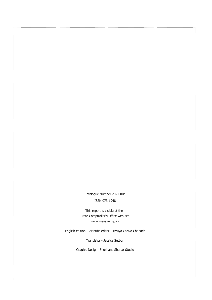Catalogue Number 2021-004 ISSN 073-1948

This report is visible at the State Comptroller's Office web site [www.mevaker.gov.il](http://www.mevaker.gov.il/)

English edition: Scientific editor - Tzruya Calvão Chebach

Translator - Jessica Setbon

Graghic Design: Shoshana Shahar Studio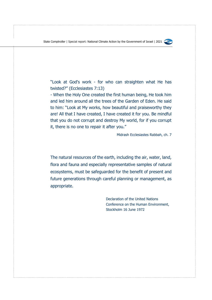

"Look at God's work - for who can straighten what He has twisted?" (Ecclesiastes 7:13)

- When the Holy One created the first human being, He took him and led him around all the trees of the Garden of Eden. He said to him: "Look at My works, how beautiful and praiseworthy they are! All that I have created, I have created it for you. Be mindful that you do not corrupt and destroy My world, for if you corrupt it, there is no one to repair it after you."

Midrash Ecclesiastes Rabbah, ch. 7

The natural resources of the earth, including the air, water, land, flora and fauna and especially representative samples of natural ecosystems, must be safeguarded for the benefit of present and future generations through careful planning or management, as appropriate.

> Declaration of the United Nations Conference on the Human Environment, Stockholm 16 June 1972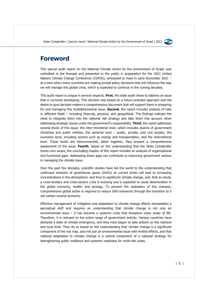

#### **Foreword**

This special audit report on the National Climate Action by the Government of Israel, was submitted to the Knesset and presented to the public in preparation for the 2021 United Nations Climate Change Conference (COP26), scheduled to meet in early November 2021 – at a time when many countries are making pivotal policy decisions that will influence the way we will manage this global crisis, which is expected to continue in the coming decades.

This audit report is unique in several respects. **First**, the state audit chose to address an issue that is currently developing. This decision was based on a future-oriented approach and the desire to give decision-makers a comprehensive document that will support them in preparing for and managing this multidimensional issue. **Second**, the report includes analysis of risks in different fields – including financial, physical, and geopolitical. The findings indicate the need to integrate them into the national risk strategy and take them into account when addressing strategic issues under the government's responsibility. **Third**, the report addresses several levels of this issue: the inter-ministerial level, which includes dozens of government ministries and public entities; the sectorial level  $-$  public, private, and civil society; the economic level, including sectors such as energy and transportation; and the international level. These levels are interconnected; taken together, they present a comprehensive assessment of the issue. **Fourth**, based on the understanding that the State Comptroller tracks core issues, the concluding chapter of this report includes an analysis of organizational and functional gaps. Addressing these gaps can contribute to improving government actions in managing the climate issue.

Over the past few decades, scientific studies have led the world to the understanding that continued emission of greenhouse gases (GHGs) at current levels will lead to increasing concentrations in the atmosphere, and thus to significant climate change, and, that as result, a cross-borders and cross-sectors crisis is evolving and is expected to cause deterioration in the global economy, health, and ecology. To prevent the realization of this scenario, comprehensive global action is required to reduce GHG emissions through the transition to a net carbon neutral economy.

Effective management of mitigation and adaptation to climate change effects necessitates a perceptual shift and requires an understanding that climate change is not only an environmental issue – it has become a systemic crisis that threatens many areas of life. Therefore, it is relevant to the entire range of government activity. Various countries have declared a state of climate emergency, and they have begun to take actions on the national and local level. They do so based on the understanding that climate change is a significant component of the risk map, and not just an environmental issue with limited effects, and that national adaptation to climate change is a central component of a national strategy for strengthening public resilience and systemic readiness for multi-risk crises.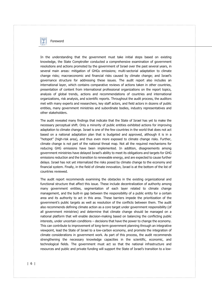

Foreword

In the understanding that the government must take initial steps based on existing knowledge, the State Comptroller conducted a comprehensive examination of government resolutions and actions promoted by the government of Israel over the past several years, in several main areas: mitigation of GHGs emissions; multi-sectorial adaptation to climate change risks; macroeconomic and financial risks caused by climate change; and Israel's governance structure for addressing these issues. The audit report also includes an international layer, which contains comparative reviews of actions taken in other countries, presentation of content from international professional organizations on the report topics, analysis of global trends, actions and recommendations of countries and international organizations, risk analysis, and scientific reports. Throughout the audit process, the auditors met with many experts and researchers, key staff actors, and field actors in dozens of public entities, many government ministries and subordinate bodies, industry representatives and other stakeholders.

The audit revealed many findings that indicate that the State of Israel has yet to make the necessary perceptual shift. Only a minority of public entities exhibited actions for improving adaptation to climate change. Israel is one of the few countries in the world that does not act based on a national adaptation plan that is budgeted and approved, although it is in a "hotspot" (high-risk area), and thus even more exposed to climate change risks. Further, climate change is not part of the national threat map. Not all the required mechanisms for reducing GHG emissions have been implemented. In addition, disagreements among government ministries have delayed Israel's ability to meet its obligations and targets for GHG emissions reduction and the transition to renewable energy, and are expected to cause further delays. Israel has not yet internalized the risks posed by climate change to the economy and financial system. Finally, in the field of climate innovation, Israel is at the bottom of the list of countries reviewed.

The audit report recommends examining the obstacles in the existing organizational and functional structure that affect this issue. These include decentralization of authority among many government entities, segmentation of each layer related to climate change management, and the built-in gap between the responsibility of a public entity for a certain area and its authority to act in this area. These barriers impede the prioritization of the government's public targets as well as resolution of the conflicts between them. The audit also recommends defining climate action as a core target under government responsibility (of all government ministries) and determine that climate change should be managed on a national platform that will enable decision-making based on balancing the conflicting public interests, under uncertain conditions – decisions that have the power to change the economy. This can contribute to improvement of long-term government planning through an integrative viewpoint, lead the State of Israel to a low-carbon economy, and promote the integration of climate considerations in government work. As part of this process, the audit recommends strengthening the necessary knowledge capacities in the scientific, economic, and technological fields. The government must act so that the national infrastructure and resources and public and private funding will support the State of Israel's transition to a low-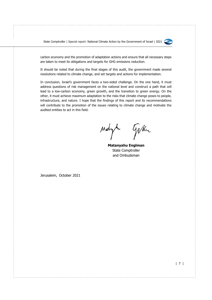

carbon economy and the promotion of adaptation actions and ensure that all necessary steps are taken to meet its obligations and targets for GHG emissions reduction.

It should be noted that during the final stages of this audit, the government made several resolutions related to climate change, and set targets and actions for implementation.

In conclusion, Israel's government faces a two-sided challenge. On the one hand, it must address questions of risk management on the national level and construct a path that will lead to a low-carbon economy, green growth, and the transition to green energy. On the other, it must achieve maximum adaptation to the risks that climate change poses to people, infrastructure, and nature. I hope that the findings of this report and its recommendations will contribute to the promotion of the issues relating to climate change and motivate the audited entities to act in this field.

gikh Malyhi

**Matanyahu Englman** State Comptroller and Ombudsman

Jerusalem, October 2021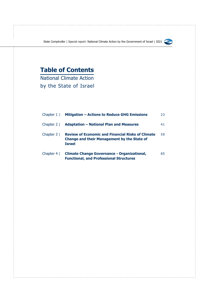

### **Table of Contents**

National Climate Action by the State of Israel

| Chapter $1 \mid$ | <b>Mitigation - Actions to Reduce GHG Emissions</b>                                                                             | 23 |
|------------------|---------------------------------------------------------------------------------------------------------------------------------|----|
|                  | Chapter 2   Adaptation – National Plan and Measures                                                                             | 41 |
| Chapter $3 \mid$ | <b>Review of Economic and Financial Risks of Climate</b><br><b>Change and their Management by the State of</b><br><b>Israel</b> | 59 |
| Chapter $4 \mid$ | <b>Climate Change Governance - Organizational,</b><br><b>Functional, and Professional Structures</b>                            | 85 |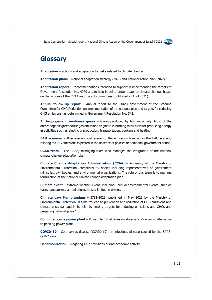

### **Glossary**

**Adaptation** – actions and adaptation for risks related to climate change.

**Adaptation plans** – National adaptation strategy (NAS) and national action plan (NAP).

**Adaptation report** – Recommendations intended to support in implementing the targets of Government Resolution No. 4079 and to help Israel to better adapt to climate changes based on the actions of the CCAA and the subcommittees (published in April 2021).

**Annual follow-up report** – Annual report to the Israeli government of the Steering Committee for GHG Reduction on implementation of the national plan and targets for reducing GHG emissions, as determined in Government Resolution No. 542.

**Anthropogenic greenhouse gases** – Gases produced by human activity. Most of the anthropogenic greenhouse gas emissions originate in burning fossil fuels for producing energy in activities such as electricity production, transportation, cooking and heating.

**BAU scenario** – Business-as-usual scenario; the emissions forecast in the BAU scenario relating to GHG emissions expected in the absence of policies or additional government action.

**CCAA team** – The CCAA; managing team who manages the integration of the national climate change adaptation plan.

**Climate Change Adaptation Administration (CCAA)** – An entity of the Ministry of Environmental Protection, comprises 35 bodies including representatives of government ministries, civil bodies, and environmental organizations. The role of this team is to manage formulation of the national climate change adaptation plan.

**Climate event** – extreme weather event, including unusual environmental events (such as haze, sandstorms, air pollution), mostly limited in extent.

**Climate Law Memorandum** – 5781-2021, published in May 2021 by the Ministry of Environmental Protection. It aims "to lead to prevention and reduction of GHG emissions and climate crisis damage in Israel… by setting targets for reducing emissions and GHGs and preparing national plans".

**Combined cycle power plant** – Power plant that relies on storage of PV energy, alternative to peaking power plant.

**COVID-19** – Coronavirus disease (COVID-19), an infectious disease caused by the SARS-CoV-2 virus.

**Decarbonization** – Negating CO2 emissions during economic activity.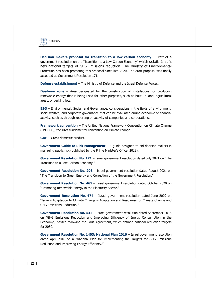

**Decision makers proposal for transition to a low-carbon economy** – Draft of a government resolution on the "Transition to a Low-Carbon Economy" which details Israel's new national targets of GHG Emissions reduction. The Ministry of Environmental Protection has been promoting this proposal since late 2020. The draft proposal was finally accepted as Government Resolution 171.

**Defense establishment** – The Ministry of Defense and the Israel Defense Forces.

**Dual-use zone** – Area designated for the construction of installations for producing renewable energy that is being used for other purposes, such as built-up land, agricultural areas, or parking lots.

**ESG** – Environmental, Social, and Governance; considerations in the fields of environment, social welfare, and corporate governance that can be evaluated during economic or financial activity, such as through reporting on activity of companies and corporations.

**Framework convention** – The United Nations Framework Convention on Climate Change (UNFCCC), the UN's fundamental convention on climate change.

**GDP** – Gross domestic product.

**Government Guide to Risk Management** – A guide designed to aid decision-makers in managing public risk (published by the Prime Minister's Office, 2018).

**Government Resolution No. 171** – Israel government resolution dated July 2021 on "The Transition to a Low-Carbon Economy."

**Government Resolution No. 208** – Israel government resolution dated August 2021 on "The Transition to Green Energy and Correction of the Government Resolution."

**Government Resolution No. 465** – Israel government resolution dated October 2020 on "Promoting Renewable Energy in the Electricity Sector."

**Government Resolution No. 474** – Israel government resolution dated June 2009 on "Israel's Adaptation to Climate Change – Adaptation and Readiness for Climate Change and GHG Emissions Reduction."

**Government Resolution No. 542** – Israel government resolution dated September 2015 on "GHG Emissions Reduction and Improving Efficiency of Energy Consumption in the Economy", passed following the Paris Agreement, which defined national reduction targets for 2030.

**Government Resolution No. 1403; National Plan 2016** – Israel government resolution dated April 2016 on a "National Plan for Implementing the Targets for GHG Emissions Reduction and Improving Energy Efficiency."

#### | 12 |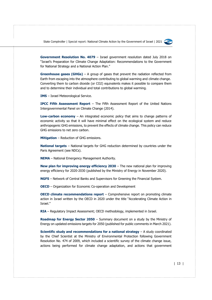

**Government Resolution No. 4079** – Israel government resolution dated July 2018 on "Israel's Preparation for Climate Change Adaptation: Recommendations to the Government for National Strategy and a National Action Plan."

**Greenhouse gases (GHGs)** – A group of gases that prevent the radiation reflected from Earth from escaping into the atmosphere contributing to global warming and [climate change.](https://ec.europa.eu/eurostat/statistics-explained/index.php?title=Glossary:Climate_change) Converting them to carbon dioxide (or CO2) equivalents makes it possible to compare them and to determine their individual and total contributions to global warming.

**IMS** – Israel Meteorological Service.

**IPCC Fifth Assessment Report** – The Fifth Assessment Report of the United Nations Intergovernmental Panel on Climate Change (2014).

**Low-carbon economy** – An integrated economic policy that aims to change patterns of economic activity so that it will have minimal effect on the ecological system and reduce anthropogenic GHG emissions, to prevent the effects of climate change. This policy can reduce GHG emissions to net zero carbon.

**Mitigation** – Reduction of GHG emissions.

**National targets** – National targets for GHG reduction determined by countries under the Paris Agreement (see NDCs).

**NEMA** – National Emergency Management Authority.

**New plan for improving energy efficiency 2030** – The new national plan for improving energy efficiency for 2020-2030 (published by the Ministry of Energy in November 2020).

**NGFS** – Network of Central Banks and Supervisors for Greening the Financial System.

**OECD** – Organization for Economic Co-operation and Development

**OECD climate recommendations report** – Comprehensive report on promoting climate action in Israel written by the OECD in 2020 under the title "Accelerating Climate Action in Israel."

**RIA** – Regulatory Impact Assessment; OECD methodology, implemented in Israel.

**Roadmap for Energy Sector 2050** – Summary document on a study by the Ministry of Energy on updated emissions targets for 2050 (published for public comments in March 2021).

**Scientific study and recommendations for a national strategy** – A study coordinated by the Chief Scientist at the Ministry of Environmental Protection following Government Resolution No. 474 of 2009, which included a scientific survey of the climate change issue, actions being performed for climate change adaptation, and actions that government

| 13 |